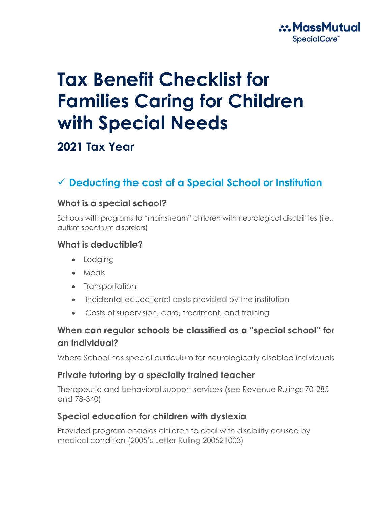

# **Tax Benefit Checklist for Families Caring for Children with Special Needs**

# **2021 Tax Year**

# ✓ **Deducting the cost of a Special School or Institution**

#### **What is a special school?**

Schools with programs to "mainstream" children with neurological disabilities (i.e., autism spectrum disorders)

#### **What is deductible?**

- Lodging
- Meals
- Transportation
- Incidental educational costs provided by the institution
- Costs of supervision, care, treatment, and training

### **When can regular schools be classified as a "special school" for an individual?**

Where School has special curriculum for neurologically disabled individuals

#### **Private tutoring by a specially trained teacher**

Therapeutic and behavioral support services (see Revenue Rulings 70-285 and 78-340)

#### **Special education for children with dyslexia**

Provided program enables children to deal with disability caused by medical condition (2005's Letter Ruling 200521003)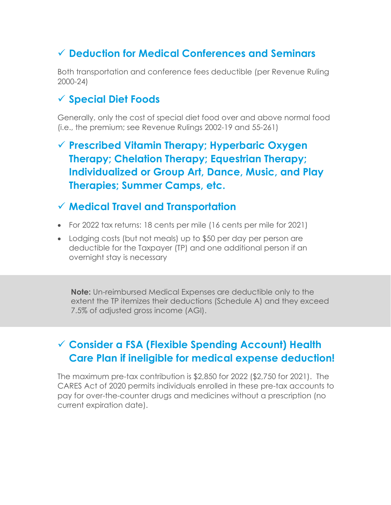# ✓ **Deduction for Medical Conferences and Seminars**

Both transportation and conference fees deductible (per Revenue Ruling 2000-24)

## ✓ **Special Diet Foods**

Generally, only the cost of special diet food over and above normal food (i.e., the premium; see Revenue Rulings 2002-19 and 55-261)

✓ **Prescribed Vitamin Therapy; Hyperbaric Oxygen Therapy; Chelation Therapy; Equestrian Therapy; Individualized or Group Art, Dance, Music, and Play Therapies; Summer Camps, etc.**

## ✓ **Medical Travel and Transportation**

- For 2022 tax returns: 18 cents per mile (16 cents per mile for 2021)
- Lodging costs (but not meals) up to \$50 per day per person are deductible for the Taxpayer (TP) and one additional person if an overnight stay is necessary

**Note:** Un-reimbursed Medical Expenses are deductible only to the extent the TP itemizes their deductions (Schedule A) and they exceed 7.5% of adjusted gross income (AGI).

# ✓ **Consider a FSA (Flexible Spending Account) Health Care Plan if ineligible for medical expense deduction!**

The maximum pre-tax contribution is \$2,850 for 2022 (\$2,750 for 2021). The CARES Act of 2020 permits individuals enrolled in these pre-tax accounts to pay for over-the-counter drugs and medicines without a prescription (no current expiration date).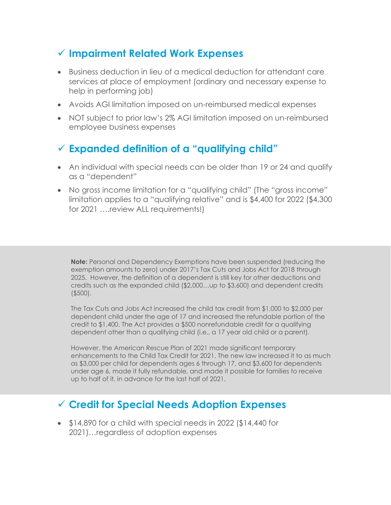## ✓ **Impairment Related Work Expenses**

- Business deduction in lieu of a medical deduction for attendant care services at place of employment (ordinary and necessary expense to help in performing job)
- Avoids AGI limitation imposed on un-reimbursed medical expenses
- NOT subject to prior law's 2% AGI limitation imposed on un-reimbursed employee business expenses

## ✓ **Expanded definition of a "qualifying child"**

- An individual with special needs can be older than 19 or 24 and qualify as a "dependent"
- No gross income limitation for a "qualifying child" (The "gross income" limitation applies to a "qualifying relative" and is \$4,400 for 2022 (\$4,300 for 2021 ....review ALL requirements!)

**Note:** Personal and Dependency Exemptions have been suspended (reducing the exemption amounts to zero) under 2017's Tax Cuts and Jobs Act for 2018 through 2025. However, the definition of a dependent is still key for other deductions and credits such as the expanded child (\$2,000…up to \$3,600) and dependent credits (\$500).

The Tax Cuts and Jobs Act increased the child tax credit from \$1,000 to \$2,000 per dependent child under the age of 17 and increased the refundable portion of the credit to \$1,400. The Act provides a \$500 nonrefundable credit for a qualifying dependent other than a qualifying child (i.e., a 17 year old child or a parent).

However, the American Rescue Plan of 2021 made significant temporary enhancements to the Child Tax Credit for 2021. The new law increased it to as much as \$3,000 per child for dependents ages 6 through 17, and \$3,600 for dependents under age 6, made it fully refundable, and made it possible for families to receive up to half of it, in advance for the last half of 2021.

## ✓ **Credit for Special Needs Adoption Expenses**

• \$14,890 for a child with special needs in 2022 (\$14,440 for 2021)…regardless of adoption expenses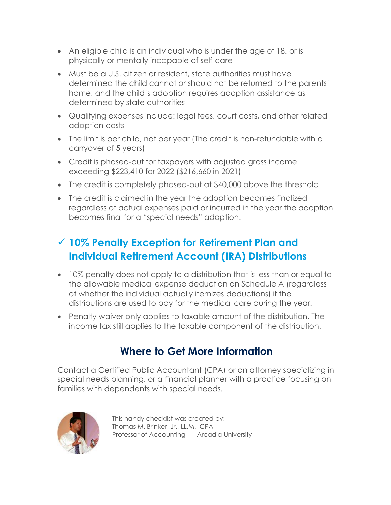- An eligible child is an individual who is under the age of 18, or is physically or mentally incapable of self-care
- Must be a U.S. citizen or resident, state authorities must have determined the child cannot or should not be returned to the parents' home, and the child's adoption requires adoption assistance as determined by state authorities
- Qualifying expenses include: legal fees, court costs, and other related adoption costs
- The limit is per child, not per year (The credit is non-refundable with a carryover of 5 years)
- Credit is phased-out for taxpayers with adjusted gross income exceeding \$223,410 for 2022 (\$216,660 in 2021)
- The credit is completely phased-out at \$40,000 above the threshold
- The credit is claimed in the year the adoption becomes finalized regardless of actual expenses paid or incurred in the year the adoption becomes final for a "special needs" adoption.

# ✓ **10% Penalty Exception for Retirement Plan and Individual Retirement Account (IRA) Distributions**

- 10% penalty does not apply to a distribution that is less than or equal to the allowable medical expense deduction on Schedule A (regardless of whether the individual actually itemizes deductions) if the distributions are used to pay for the medical care during the year.
- Penalty waiver only applies to taxable amount of the distribution. The income tax still applies to the taxable component of the distribution.

# **Where to Get More Information**

Contact a Certified Public Accountant (CPA) or an attorney specializing in special needs planning, or a financial planner with a practice focusing on families with dependents with special needs.



This handy checklist was created by: Thomas M. Brinker, Jr., LL.M., CPA Professor of Accounting | Arcadia University